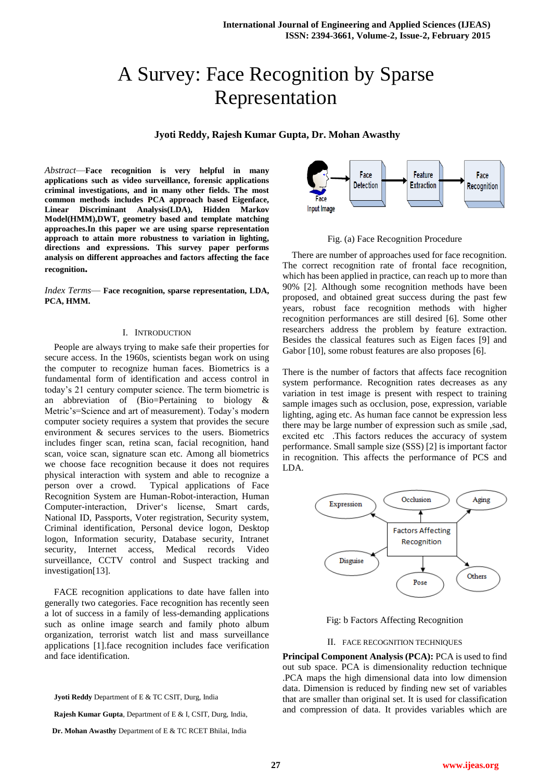# A Survey: Face Recognition by Sparse Representation

## **Jyoti Reddy, Rajesh Kumar Gupta, Dr. Mohan Awasthy**

*Abstract*—**Face recognition is very helpful in many applications such as video surveillance, forensic applications criminal investigations, and in many other fields. The most common methods includes PCA approach based Eigenface, Linear Discriminant Analysis(LDA), Hidden Markov Model(HMM),DWT, geometry based and template matching approaches.In this paper we are using sparse representation approach to attain more robustness to variation in lighting, directions and expressions. This survey paper performs analysis on different approaches and factors affecting the face recognition.**

*Index Terms*— **Face recognition, sparse representation, LDA, PCA, HMM.**

#### I. INTRODUCTION

People are always trying to make safe their properties for secure access. In the 1960s, scientists began work on using the computer to recognize human faces. Biometrics is a fundamental form of identification and access control in today's 21 century computer science. The term biometric is an abbreviation of (Bio=Pertaining to biology & Metric's=Science and art of measurement). Today's modern computer society requires a system that provides the secure environment & secures services to the users. Biometrics includes finger scan, retina scan, facial recognition, hand scan, voice scan, signature scan etc. Among all biometrics we choose face recognition because it does not requires physical interaction with system and able to recognize a person over a crowd. Typical applications of Face Recognition System are Human-Robot-interaction, Human Computer-interaction, Driver's license, Smart cards, National ID, Passports, Voter registration, Security system, Criminal identification, Personal device logon, Desktop logon, Information security, Database security, Intranet security, Internet access, Medical records Video surveillance, CCTV control and Suspect tracking and investigation[13].

FACE recognition applications to date have fallen into generally two categories. Face recognition has recently seen a lot of success in a family of less-demanding applications such as online image search and family photo album organization, terrorist watch list and mass surveillance applications [1].face recognition includes face verification and face identification.

**Jyoti Reddy** Department of E & TC CSIT, Durg, India

**Rajesh Kumar Gupta**, Department of E & I, CSIT, Durg, India,



Fig. (a) Face Recognition Procedure

There are number of approaches used for face recognition. The correct recognition rate of frontal face recognition, which has been applied in practice, can reach up to more than 90% [2]. Although some recognition methods have been proposed, and obtained great success during the past few years, robust face recognition methods with higher recognition performances are still desired [6]. Some other researchers address the problem by feature extraction. Besides the classical features such as Eigen faces [9] and Gabor [10], some robust features are also proposes [6].

There is the number of factors that affects face recognition system performance. Recognition rates decreases as any variation in test image is present with respect to training sample images such as occlusion, pose, expression, variable lighting, aging etc. As human face cannot be expression less there may be large number of expression such as smile ,sad, excited etc .This factors reduces the accuracy of system performance. Small sample size (SSS) [2] is important factor in recognition. This affects the performance of PCS and LDA.



Fig: b Factors Affecting Recognition

#### II. FACE RECOGNITION TECHNIQUES

**Principal Component Analysis (PCA):** PCA is used to find out sub space. PCA is dimensionality reduction technique .PCA maps the high dimensional data into low dimension data. Dimension is reduced by finding new set of variables that are smaller than original set. It is used for classification and compression of data. It provides variables which are

**Dr. Mohan Awasthy** Department of E & TC RCET Bhilai, India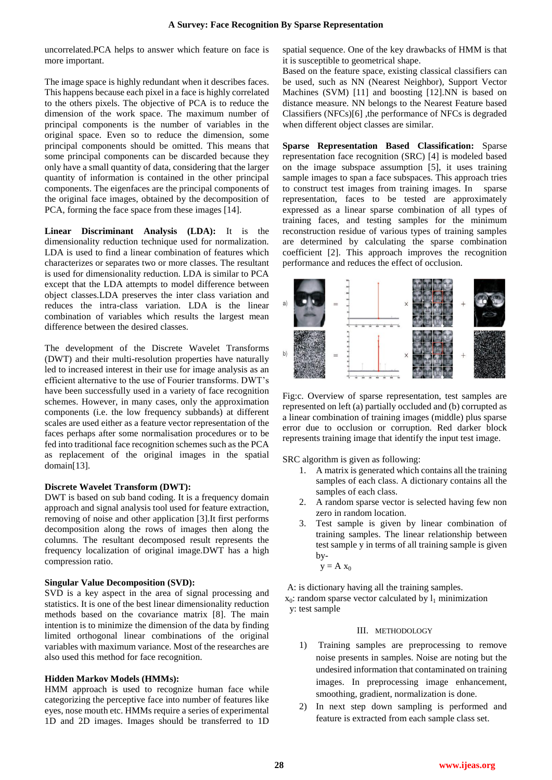uncorrelated.PCA helps to answer which feature on face is more important.

The image space is highly redundant when it describes faces. This happens because each pixel in a face is highly correlated to the others pixels. The objective of PCA is to reduce the dimension of the work space. The maximum number of principal components is the number of variables in the original space. Even so to reduce the dimension, some principal components should be omitted. This means that some principal components can be discarded because they only have a small quantity of data, considering that the larger quantity of information is contained in the other principal components. The eigenfaces are the principal components of the original face images, obtained by the decomposition of PCA, forming the face space from these images [14].

**Linear Discriminant Analysis (LDA):** It is the dimensionality reduction technique used for normalization. LDA is used to find a linear combination of features which characterizes or separates two or more classes. The resultant is used for dimensionality reduction. LDA is similar to PCA except that the LDA attempts to model difference between object classes.LDA preserves the inter class variation and reduces the intra-class variation. LDA is the linear combination of variables which results the largest mean difference between the desired classes.

The development of the Discrete Wavelet Transforms (DWT) and their multi-resolution properties have naturally led to increased interest in their use for image analysis as an efficient alternative to the use of Fourier transforms. DWT's have been successfully used in a variety of face recognition schemes. However, in many cases, only the approximation components (i.e. the low frequency subbands) at different scales are used either as a feature vector representation of the faces perhaps after some normalisation procedures or to be fed into traditional face recognition schemes such as the PCA as replacement of the original images in the spatial domain[13].

# **Discrete Wavelet Transform (DWT):**

DWT is based on sub band coding. It is a frequency domain approach and signal analysis tool used for feature extraction, removing of noise and other application [3].It first performs decomposition along the rows of images then along the columns. The resultant decomposed result represents the frequency localization of original image.DWT has a high compression ratio.

### **Singular Value Decomposition (SVD):**

SVD is a key aspect in the area of signal processing and statistics. It is one of the best linear dimensionality reduction methods based on the covariance matrix [8]. The main intention is to minimize the dimension of the data by finding limited orthogonal linear combinations of the original variables with maximum variance. Most of the researches are also used this method for face recognition.

#### **Hidden Markov Models (HMMs):**

HMM approach is used to recognize human face while categorizing the perceptive face into number of features like eyes, nose mouth etc. HMMs require a series of experimental 1D and 2D images. Images should be transferred to 1D

spatial sequence. One of the key drawbacks of HMM is that it is susceptible to geometrical shape.

Based on the feature space, existing classical classifiers can be used, such as NN (Nearest Neighbor), Support Vector Machines (SVM) [11] and boosting [12].NN is based on distance measure. NN belongs to the Nearest Feature based Classifiers (NFCs)[6] ,the performance of NFCs is degraded when different object classes are similar.

**Sparse Representation Based Classification:** Sparse representation face recognition (SRC) [4] is modeled based on the image subspace assumption [5], it uses training sample images to span a face subspaces. This approach tries to construct test images from training images. In sparse representation, faces to be tested are approximately expressed as a linear sparse combination of all types of training faces, and testing samples for the minimum reconstruction residue of various types of training samples are determined by calculating the sparse combination coefficient [2]. This approach improves the recognition performance and reduces the effect of occlusion.



Fig:c. Overview of sparse representation, test samples are represented on left (a) partially occluded and (b) corrupted as a linear combination of training images (middle) plus sparse error due to occlusion or corruption. Red darker block represents training image that identify the input test image.

SRC algorithm is given as following:

- 1. A matrix is generated which contains all the training samples of each class. A dictionary contains all the samples of each class.
- 2. A random sparse vector is selected having few non zero in random location.
- 3. Test sample is given by linear combination of training samples. The linear relationship between test sample y in terms of all training sample is given by-

 $y = A x_0$ 

A: is dictionary having all the training samples.

 $x_0$ : random sparse vector calculated by  $l_1$  minimization y: test sample

#### III. METHODOLOGY

- 1) Training samples are preprocessing to remove noise presents in samples. Noise are noting but the undesired information that contaminated on training images. In preprocessing image enhancement, smoothing, gradient, normalization is done.
- 2) In next step down sampling is performed and feature is extracted from each sample class set.